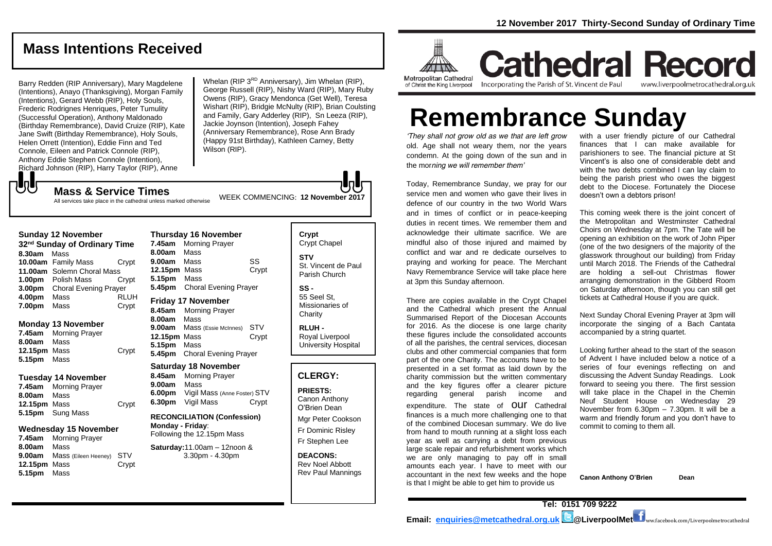## **Mass Intentions Received**

Barry Redden (RIP Anniversary), Mary Magdelene (Intentions), Anayo (Thanksgiving), Morgan Family (Intentions), Gerard Webb (RIP), Holy Souls, Frederic Rodrignes Henriques, Peter Tumulity (Successful Operation), Anthony Maldonado (Birthday Remembrance), David Cruize (RIP), Kate Jane Swift (Birthday Remembrance), Holy Souls, Helen Orrett (Intention), Eddie Finn and Ted Connole, Eileen and Patrick Connole (RIP), Anthony Eddie Stephen Connole (Intention), Richard Johnson (RIP), Harry Taylor (RIP), Anne

Whelan (RIP 3<sup>RD</sup> Anniversary), Jim Whelan (RIP), George Russell (RIP), Nishy Ward (RIP), Mary Ruby Owens (RIP), Gracy Mendonca (Get Well), Teresa Wishart (RIP), Bridgie McNulty (RIP), Brian Coulsting and Family, Gary Adderley (RIP), Sn Leeza (RIP), Jackie Joynson (Intention), Joseph Fahey (Anniversary Remembrance), Rose Ann Brady (Happy 91st Birthday), Kathleen Carney, Betty Wilson (RIP).

もし

## WEEK COMMENCING: **<sup>12</sup> November <sup>2017</sup> Mass & Service Times**

All services take place in the cathedral unless marked otherwise

#### **Sunday 12 November**

| 32 <sup>nd</sup> Sunday of Ordinary Time |                              |             |  |
|------------------------------------------|------------------------------|-------------|--|
| 8.30am                                   | Mass                         |             |  |
|                                          | 10.00am Family Mass          | Crypt       |  |
|                                          | 11.00am Solemn Choral Mass   |             |  |
|                                          | 1.00pm Polish Mass           | Crypt       |  |
| 3.00 <sub>pm</sub>                       | <b>Choral Evening Prayer</b> |             |  |
| 4.00pm                                   | Mass                         | <b>RLUH</b> |  |
| 7.00pm                                   | Mass                         | Crypt       |  |

#### **Monday 13 November**

**7.45am** Morning Prayer **8.00am** Mass 12.15pm Mass Crypt **5.15pm** Mass

#### **Tuesday 14 November**

**7.45am** Morning Prayer **8.00am** Mass **12.15pm** Mass Crypt **5.15pm** Sung Mass

#### **Wednesday 15 November**

**7.45am** Morning Prayer **8.00am** Mass **9.00am** Mass (Eileen Heeney) STV **12.15pm** Mass Crypt **5.15pm** Mass

| <b>Thursday 16 November</b> |                              |       |  |
|-----------------------------|------------------------------|-------|--|
| 7.45am                      | <b>Morning Prayer</b>        |       |  |
| 8.00am Mass                 |                              |       |  |
| 9.00am                      | Mass                         | SS    |  |
| 12.15pm                     | Mass                         | Crypt |  |
| 5.15pm Mass                 |                              |       |  |
|                             | 5.45pm Choral Evening Prayer |       |  |
| <b>Friday 17 November</b>   |                              |       |  |
|                             | 8.45am Morning Prayer        |       |  |
| 9.00cm                      | M                            |       |  |

**8.00am** Mass **9.00am** Mass (Essie McInnes) STV **12.15pm** Mass Crypt **5.15pm** Mass **5.45pm** Choral Evening Prayer

#### **Saturday 18 November**

**8.45am** Morning Prayer **9.00am** Mass **6.00pm** Vigil Mass (Anne Foster) STV **6.30pm** Vigil Mass Crypt

#### **RECONCILIATION (Confession) Monday - Friday**: Following the 12.15pm Mass

**Saturday:**11.00am – 12noon & 3.30pm - 4.30pm

#### **Crypt**  Crypt Chapel **STV** St. Vincent de Paul Parish Church

**SS -** 55 Seel St, Missionaries of **Charity** 

**RLUH -** Royal Liverpool University Hospital

#### **CLERGY:**

**PRIESTS:** Canon Anthony O'Brien *Dean*

Mgr Peter Cookson Fr Dominic Risley Fr Stephen Lee

**DEACONS:** Rev Noel Abbott Rev Paul Mannings



**Cathedral Record** Incorporating the Parish of St. Vincent de Paul www.liverpoolmetrocathedral.org.uk

# **Remembrance Sunday**

*'They shall not grow old as we that are left grow old. Age shall not weary them, nor the years condemn. At the going down of the sun and in the morning we will remember them'* 

Today, Remembrance Sunday, we pray for our service men and women who gave their lives in defence of our country in the two World Wars and in times of conflict or in peace-keeping duties in recent times. We remember them and acknowledge their ultimate sacrifice. We are mindful also of those injured and maimed by conflict and war and re dedicate ourselves to praying and working for peace. The Merchant Navy Remembrance Service will take place here at 3pm this Sunday afternoon.

There are copies available in the Crypt Chapel and the Cathedral which present the Annual Summarised Report of the Diocesan Accounts for 2016. As the diocese is one large charity these figures include the consolidated accounts of all the parishes, the central services, diocesan clubs and other commercial companies that form part of the one Charity. The accounts have to be presented in a set format as laid down by the charity commission but the written commentary and the key figures offer a clearer picture regarding general parish income and expenditure. The state of **OUI** Cathedral finances is a much more challenging one to that of the combined Diocesan summary. We do live from hand to mouth running at a slight loss each year as well as carrying a debt from previous large scale repair and refurbishment works which we are only managing to pay off in small amounts each year. I have to meet with our accountant in the next few weeks and the hope is that I might be able to get him to provide us

with a user friendly picture of our Cathedral finances that I can make available for parishioners to see. The financial picture at St Vincent's is also one of considerable debt and with the two debts combined I can lay claim to being the parish priest who owes the biggest debt to the Diocese. Fortunately the Diocese doesn't own a debtors prison!

This coming week there is the joint concert of the Metropolitan and Westminster Cathedral Choirs on Wednesday at 7pm. The Tate will be opening an exhibition on the work of John Piper (one of the two designers of the majority of the glasswork throughout our building) from Friday until March 2018. The Friends of the Cathedral are holding a sell-out Christmas flower arranging demonstration in the Gibberd Room on Saturday afternoon, though you can still get tickets at Cathedral House if you are quick.

Next Sunday Choral Evening Prayer at 3pm will incorporate the singing of a Bach Cantata accompanied by a string quartet.

Looking further ahead to the start of the season of Advent I have included below a notice of a series of four evenings reflecting on and discussing the Advent Sunday Readings. Look forward to seeing you there. The first session will take place in the Chapel in the Chemin Neuf Student House on Wednesday 29 November from 6.30pm – 7.30pm. It will be a warm and friendly forum and you don't have to commit to coming to them all.

**Canon Anthony O'Brien Dean**